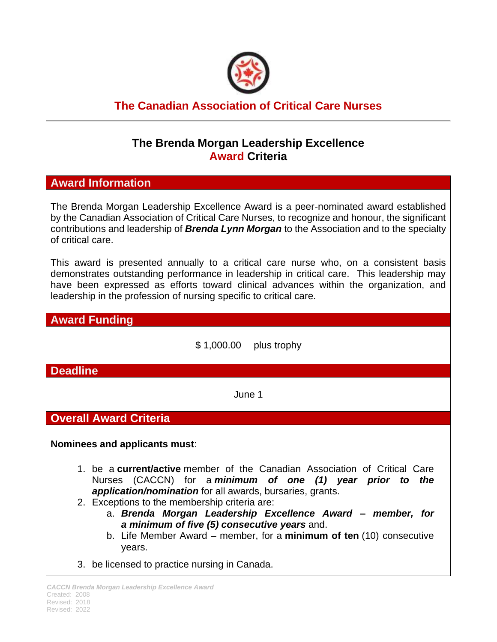

# **The Canadian Association of Critical Care Nurses**

## **The Brenda Morgan Leadership Excellence Award Criteria**

### **Award Information**

The Brenda Morgan Leadership Excellence Award is a peer-nominated award established by the Canadian Association of Critical Care Nurses, to recognize and honour, the significant contributions and leadership of *Brenda Lynn Morgan* to the Association and to the specialty of critical care.

This award is presented annually to a critical care nurse who, on a consistent basis demonstrates outstanding performance in leadership in critical care. This leadership may have been expressed as efforts toward clinical advances within the organization, and leadership in the profession of nursing specific to critical care.

#### **Award Funding**

\$ 1,000.00 plus trophy

**Deadline**

June 1

### **Overall Award Criteria**

**Nominees and applicants must**:

- 1. be a **current/active** member of the Canadian Association of Critical Care Nurses (CACCN) for a *minimum of one (1) year prior to the application/nomination* for all awards, bursaries, grants.
- 2. Exceptions to the membership criteria are:
	- a. *Brenda Morgan Leadership Excellence Award – member, for a minimum of five (5) consecutive years* and.
	- b. Life Member Award member, for a **minimum of ten** (10) consecutive years.
- 3. be licensed to practice nursing in Canada.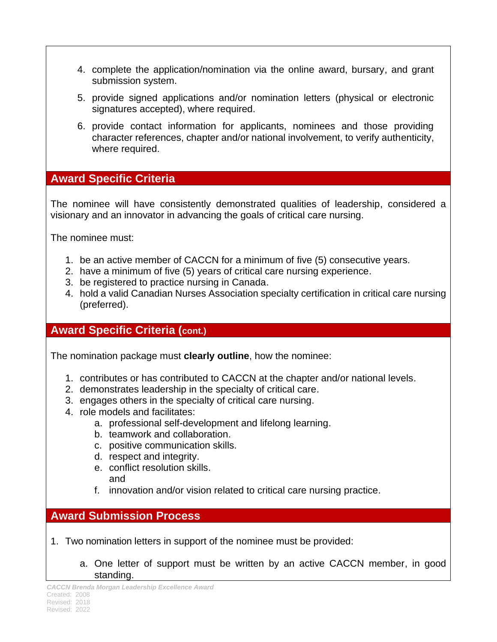- 4. complete the application/nomination via the online award, bursary, and grant submission system.
- 5. provide signed applications and/or nomination letters (physical or electronic signatures accepted), where required.
- 6. provide contact information for applicants, nominees and those providing character references, chapter and/or national involvement, to verify authenticity, where required.

### **Award Specific Criteria**

The nominee will have consistently demonstrated qualities of leadership, considered a visionary and an innovator in advancing the goals of critical care nursing.

The nominee must:

- 1. be an active member of CACCN for a minimum of five (5) consecutive years.
- 2. have a minimum of five (5) years of critical care nursing experience.
- 3. be registered to practice nursing in Canada.
- 4. hold a valid Canadian Nurses Association specialty certification in critical care nursing (preferred).

# **Award Specific Criteria (cont.)**

The nomination package must **clearly outline**, how the nominee:

- 1. contributes or has contributed to CACCN at the chapter and/or national levels.
- 2. demonstrates leadership in the specialty of critical care.
- 3. engages others in the specialty of critical care nursing.
- 4. role models and facilitates:
	- a. professional self-development and lifelong learning.
	- b. teamwork and collaboration.
	- c. positive communication skills.
	- d. respect and integrity.
	- e. conflict resolution skills. and
	- f. innovation and/or vision related to critical care nursing practice.

## **Award Submission Process**

- 1. Two nomination letters in support of the nominee must be provided:
	- a. One letter of support must be written by an active CACCN member, in good standing.